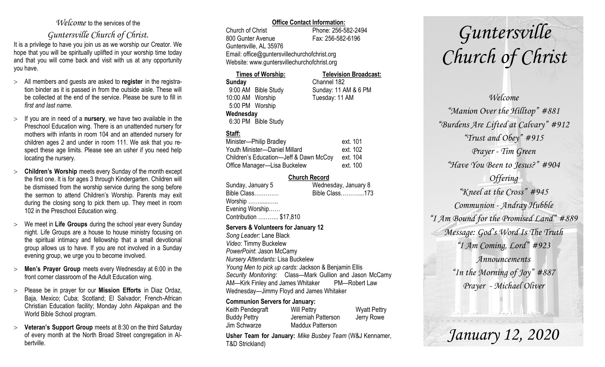## *Welcome* to the services of the

## *Guntersville Church of Christ*.

It is a privilege to have you join us as we worship our Creator. We hope that you will be spiritually uplifted in your worship time today and that you will come back and visit with us at any opportunity you have.

- All members and guests are asked to **register** in the registration binder as it is passed in from the outside aisle. These will be collected at the end of the service. Please be sure to fill in *first and last name*.
- $\geq$  If you are in need of a **nursery**, we have two available in the Preschool Education wing. There is an unattended nursery for mothers with infants in room 104 and an attended nursery for children ages 2 and under in room 111. We ask that you respect these age limits. Please see an usher if you need help locating the nursery.
- **Children's Worship** meets every Sunday of the month except the first one. It is for ages 3 through Kindergarten. Children will be dismissed from the worship service during the song before the sermon to attend Children's Worship. Parents may exit during the closing song to pick them up. They meet in room 102 in the Preschool Education wing.
- We meet in **Life Groups** during the school year every Sunday night. Life Groups are a house to house ministry focusing on the spiritual intimacy and fellowship that a small devotional group allows us to have. If you are not involved in a Sunday evening group, we urge you to become involved.
- **Men's Prayer Group** meets every Wednesday at 6:00 in the front corner classroom of the Adult Education wing.
- Please be in prayer for our **Mission Efforts** in Diaz Ordaz, Baja, Mexico; Cuba; Scotland; El Salvador; French-African Christian Education facility; Monday John Akpakpan and the World Bible School program.
- **Veteran's Support Group** meets at 8:30 on the third Saturday of every month at the North Broad Street congregation in Albertville.

#### **Office Contact Information:**

Church of Christ Phone: 256-582-2494 800 Gunter Avenue Fax: 256-582-6196 Guntersville, AL 35976 Email: office@guntersvillechurchofchrist.org Website: www.guntersvillechurchofchrist.org

#### **Times of Worship: Television Broadcast:**

**Sunday** Channel 182 9:00 AM Bible Study Sunday: 11 AM & 6 PM 10:00 AM Worship Tuesday: 11 AM 5:00 PM Worship **Wednesday** 6:30 PM Bible Study

### **Staff:**

| Minister-Philip Bradley                | ext. 101 |
|----------------------------------------|----------|
| Youth Minister-Daniel Millard          | ext. 102 |
| Children's Education-Jeff & Dawn McCoy | ext. 104 |
| Office Manager-Lisa Buckelew           | ext. 100 |

#### **Church Record**

| Sunday, January 5      | Wednesday, January 8 |
|------------------------|----------------------|
| Bible Class            | Bible Class173       |
| Worship                |                      |
| Evening Worship        |                      |
| Contribution  \$17,810 |                      |
|                        |                      |

#### **Servers & Volunteers for January 12**

*Song Leader:* Lane Black *Video*: Timmy Buckelew *PowerPoint*: Jason McCamy *Nursery Attendants:* Lisa Buckelew *Young Men to pick up cards*: Jackson & Benjamin Ellis *Security Monitoring*: Class—Mark Gullion and Jason McCamy AM—Kirk Finley and James Whitaker PM—Robert Law Wednesday—Jimmy Floyd and James Whitaker

#### **Communion Servers for January:**

| Keith Pendegraft    | <b>Will Pettry</b>      | <b>Wyatt Pettry</b> |
|---------------------|-------------------------|---------------------|
| <b>Buddy Pettry</b> | Jeremiah Patterson      | Jerry Rowe          |
| Jim Schwarze        | <b>Maddux Patterson</b> |                     |

**Usher Team for January:** *Mike Busbey Team* (W&J Kennamer, T&D Strickland)

# *Guntersville Church of Christ*

## *Welcome*

*"Manion Over the Hilltop" #881 "Burdens Are Lifted at Calvary" #912 "Trust and Obey" #915 Prayer - Tim Green "Have You Been to Jesus?" #904 Offering "Kneel at the Cross" #945 Communion - Andray Hubble "I Am Bound for the Promised Land" #889 Message: God's Word Is The Truth "I Am Coming, Lord" #923 Announcements "In the Morning of Joy" #887 Prayer - Michael Oliver*

*January 12, 2020*